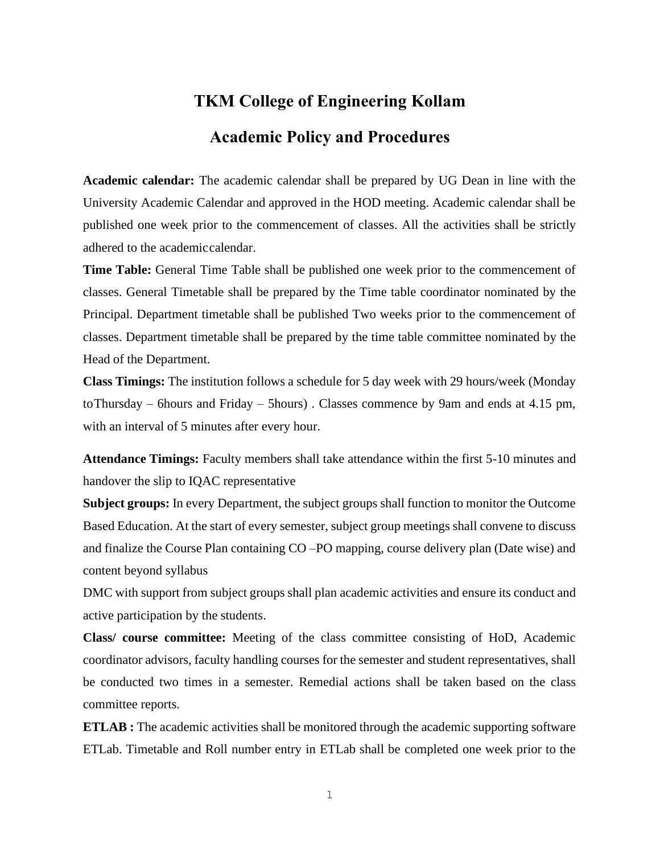## **TKM College of Engineering Kollam Academic Policy and Procedures**

**Academic calendar:** The academic calendar shall be prepared by UG Dean in line with the University Academic Calendar and approved in the HOD meeting. Academic calendar shall be published one week prior to the commencement of classes. All the activities shall be strictly adhered to the academiccalendar.

**Time Table:** General Time Table shall be published one week prior to the commencement of classes. General Timetable shall be prepared by the Time table coordinator nominated by the Principal. Department timetable shall be published Two weeks prior to the commencement of classes. Department timetable shall be prepared by the time table committee nominated by the Head of the Department.

**Class Timings:** The institution follows a schedule for 5 day week with 29 hours/week (Monday toThursday – 6hours and Friday – 5hours) . Classes commence by 9am and ends at 4.15 pm, with an interval of 5 minutes after every hour.

**Attendance Timings:** Faculty members shall take attendance within the first 5-10 minutes and handover the slip to IQAC representative

**Subject groups:** In every Department, the subject groups shall function to monitor the Outcome Based Education. At the start of every semester, subject group meetings shall convene to discuss and finalize the Course Plan containing CO –PO mapping, course delivery plan (Date wise) and content beyond syllabus

DMC with support from subject groups shall plan academic activities and ensure its conduct and active participation by the students.

**Class/ course committee:** Meeting of the class committee consisting of HoD, Academic coordinator advisors, faculty handling courses for the semester and student representatives, shall be conducted two times in a semester. Remedial actions shall be taken based on the class committee reports.

**ETLAB**: The academic activities shall be monitored through the academic supporting software ETLab. Timetable and Roll number entry in ETLab shall be completed one week prior to the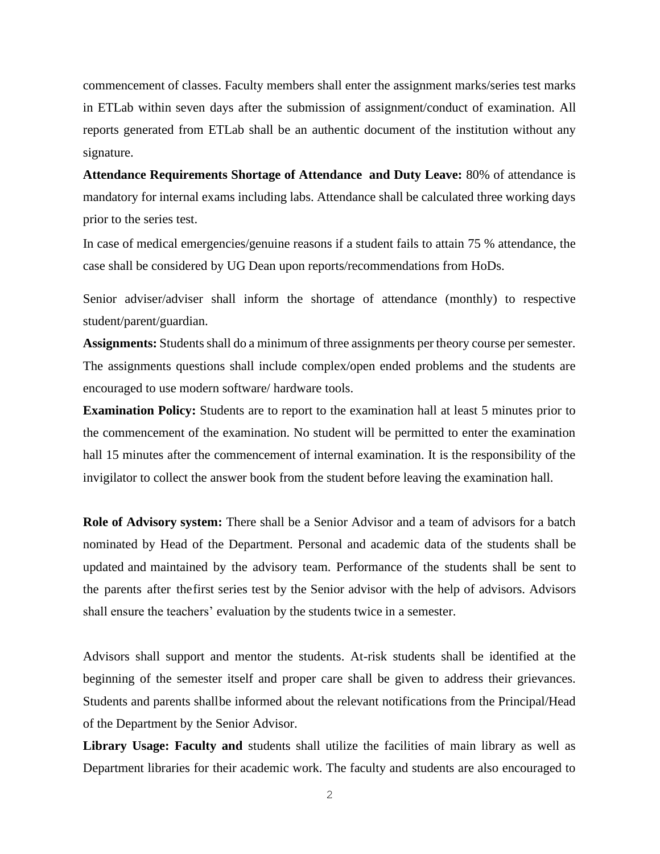commencement of classes. Faculty members shall enter the assignment marks/series test marks in ETLab within seven days after the submission of assignment/conduct of examination. All reports generated from ETLab shall be an authentic document of the institution without any signature.

**Attendance Requirements Shortage of Attendance and Duty Leave:** 80% of attendance is mandatory for internal exams including labs. Attendance shall be calculated three working days prior to the series test.

In case of medical emergencies/genuine reasons if a student fails to attain 75 % attendance, the case shall be considered by UG Dean upon reports/recommendations from HoDs.

Senior adviser/adviser shall inform the shortage of attendance (monthly) to respective student/parent/guardian.

**Assignments:** Students shall do a minimum of three assignments per theory course per semester. The assignments questions shall include complex/open ended problems and the students are encouraged to use modern software/ hardware tools.

**Examination Policy:** Students are to report to the examination hall at least 5 minutes prior to the commencement of the examination. No student will be permitted to enter the examination hall 15 minutes after the commencement of internal examination. It is the responsibility of the invigilator to collect the answer book from the student before leaving the examination hall.

**Role of Advisory system:** There shall be a Senior Advisor and a team of advisors for a batch nominated by Head of the Department. Personal and academic data of the students shall be updated and maintained by the advisory team. Performance of the students shall be sent to the parents after thefirst series test by the Senior advisor with the help of advisors. Advisors shall ensure the teachers' evaluation by the students twice in a semester.

Advisors shall support and mentor the students. At-risk students shall be identified at the beginning of the semester itself and proper care shall be given to address their grievances. Students and parents shallbe informed about the relevant notifications from the Principal/Head of the Department by the Senior Advisor.

Library Usage: Faculty and students shall utilize the facilities of main library as well as Department libraries for their academic work. The faculty and students are also encouraged to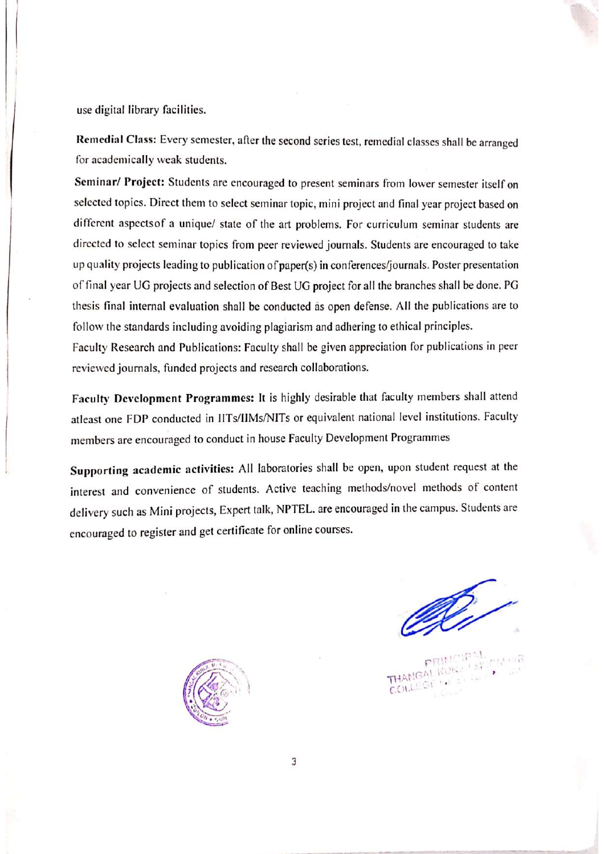use digital library facilities.

Remedial Class: Every semester, after the second series test, remedial classes shall be arranged for academically weak students.

Seminar/ Project: Students are encouraged to present seminars from lower semester itself on selected topics. Direct them to select seminar topic, mini project and final year project based on different aspects of a unique/ state of the art problems. For curriculum seminar students are directed to select seminar topics from peer reviewed journals. Students are encouraged to take up quality projects leading to publication of paper(s) in conferences/journals. Poster presentation of final year UG projects and selection of Best UG project for all the branches shall be done. PG thesis final internal evaluation shall be conducted as open defense. All the publications are to follow the standards including avoiding plagiarism and adhering to ethical principles.

Faculty Research and Publications: Faculty shall be given appreciation for publications in peer reviewed journals, funded projects and research collaborations.

Faculty Development Programmes: It is highly desirable that faculty members shall attend atleast one FDP conducted in IITs/IIMs/NITs or equivalent national level institutions. Faculty members are encouraged to conduct in house Faculty Development Programmes

Supporting academic activities: All laboratories shall be open, upon student request at the interest and convenience of students. Active teaching methods/novel methods of content delivery such as Mini projects, Expert talk, NPTEL. are encouraged in the campus. Students are encouraged to register and get certificate for online courses.

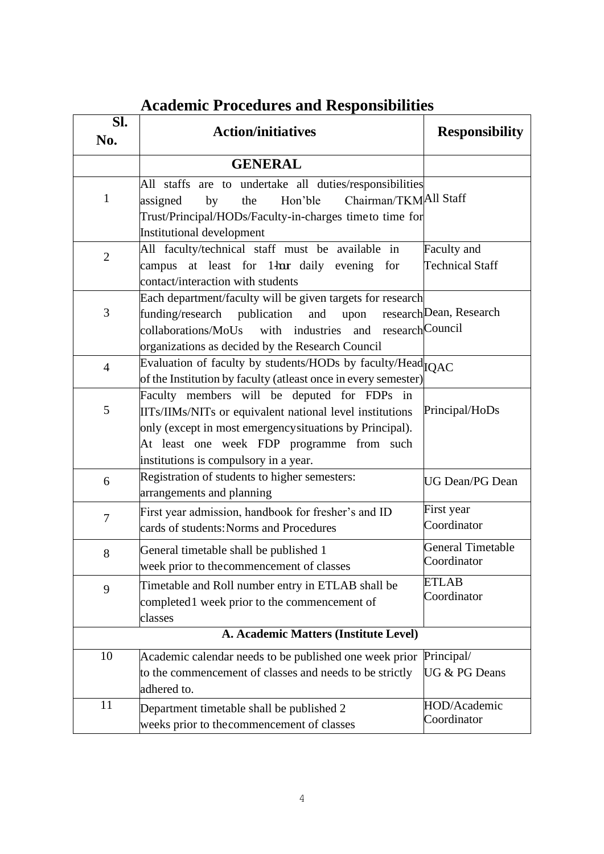| SI.<br>No.     | <b>Action/initiatives</b>                                                                               | <b>Responsibility</b>       |
|----------------|---------------------------------------------------------------------------------------------------------|-----------------------------|
|                | <b>GENERAL</b>                                                                                          |                             |
|                |                                                                                                         |                             |
|                | All staffs are to undertake all duties/responsibilities                                                 |                             |
| $\mathbf{1}$   | Chairman/TKMAll Staff<br>Hon'ble<br>the<br>assigned<br>by                                               |                             |
|                | Trust/Principal/HODs/Faculty-in-charges timeto time for                                                 |                             |
|                | Institutional development                                                                               |                             |
| $\overline{2}$ | All faculty/technical staff must be available in                                                        | Faculty and                 |
|                | campus at least for 1 har daily evening for                                                             | <b>Technical Staff</b>      |
|                | contact/interaction with students                                                                       |                             |
| 3              | Each department/faculty will be given targets for research                                              | research Dean, Research     |
|                | funding/research publication and<br>upon<br>with industries and research Council<br>collaborations/MoUs |                             |
|                | organizations as decided by the Research Council                                                        |                             |
|                | Evaluation of faculty by students/HODs by faculty/Head <sub>IOAC</sub>                                  |                             |
| $\overline{4}$ | of the Institution by faculty (atleast once in every semester)                                          |                             |
|                | Faculty members will be deputed for FDPs in                                                             |                             |
| 5              | IITs/IIMs/NITs or equivalent national level institutions                                                | Principal/HoDs              |
|                | only (except in most emergency situations by Principal).                                                |                             |
|                | At least one week FDP programme from such                                                               |                             |
|                | institutions is compulsory in a year.                                                                   |                             |
| 6              | Registration of students to higher semesters:                                                           | <b>UG Dean/PG Dean</b>      |
|                | arrangements and planning                                                                               |                             |
| $\overline{7}$ | First year admission, handbook for fresher's and ID                                                     | First year                  |
|                | cards of students: Norms and Procedures                                                                 | Coordinator                 |
|                | General timetable shall be published 1                                                                  | <b>General Timetable</b>    |
| 8              | week prior to the commencement of classes                                                               | Coordinator                 |
|                |                                                                                                         | <b>ETLAB</b>                |
| 9              | Timetable and Roll number entry in ETLAB shall be<br>completed1 week prior to the commencement of       | Coordinator                 |
|                | classes                                                                                                 |                             |
|                | A. Academic Matters (Institute Level)                                                                   |                             |
|                |                                                                                                         |                             |
| 10             | Academic calendar needs to be published one week prior                                                  | Principal/                  |
|                | to the commencement of classes and needs to be strictly                                                 | UG & PG Deans               |
|                | adhered to.                                                                                             |                             |
| 11             | Department timetable shall be published 2                                                               | HOD/Academic<br>Coordinator |
|                | weeks prior to the commencement of classes                                                              |                             |

## **Academic Procedures and Responsibilities**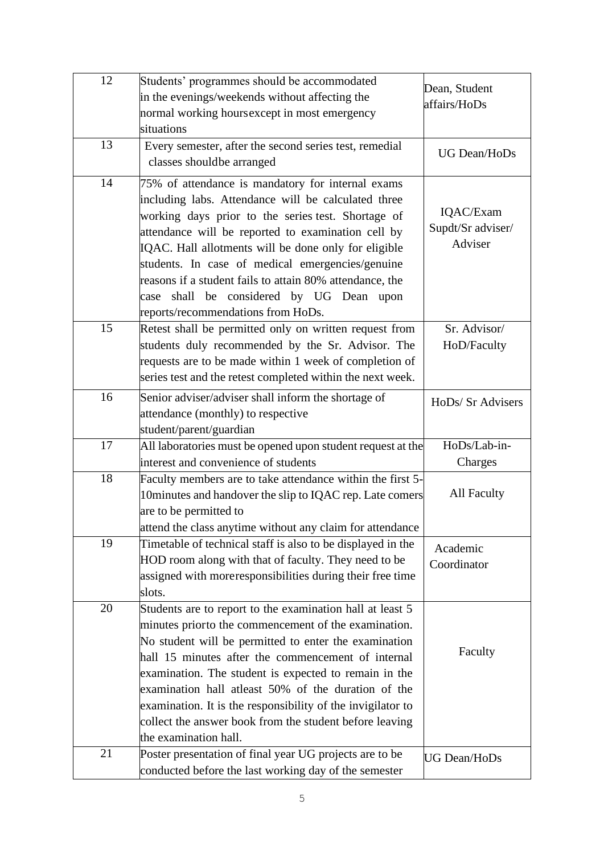| 12 | Students' programmes should be accommodated<br>in the evenings/weekends without affecting the<br>normal working hours except in most emergency<br>situations                                                                                                                                                                                                                                                                                                                                        | Dean, Student<br>affairs/HoDs             |
|----|-----------------------------------------------------------------------------------------------------------------------------------------------------------------------------------------------------------------------------------------------------------------------------------------------------------------------------------------------------------------------------------------------------------------------------------------------------------------------------------------------------|-------------------------------------------|
| 13 | Every semester, after the second series test, remedial<br>classes shouldbe arranged                                                                                                                                                                                                                                                                                                                                                                                                                 | <b>UG Dean/HoDs</b>                       |
| 14 | 75% of attendance is mandatory for internal exams<br>including labs. Attendance will be calculated three<br>working days prior to the series test. Shortage of<br>attendance will be reported to examination cell by<br>IQAC. Hall allotments will be done only for eligible<br>students. In case of medical emergencies/genuine<br>reasons if a student fails to attain 80% attendance, the<br>case shall be considered by UG Dean upon<br>reports/recommendations from HoDs.                      | IQAC/Exam<br>Supdt/Sr adviser/<br>Adviser |
| 15 | Retest shall be permitted only on written request from<br>students duly recommended by the Sr. Advisor. The<br>requests are to be made within 1 week of completion of<br>series test and the retest completed within the next week.                                                                                                                                                                                                                                                                 | Sr. Advisor/<br>HoD/Faculty               |
| 16 | Senior adviser/adviser shall inform the shortage of<br>attendance (monthly) to respective<br>student/parent/guardian                                                                                                                                                                                                                                                                                                                                                                                | HoDs/ Sr Advisers                         |
| 17 | All laboratories must be opened upon student request at the<br>interest and convenience of students                                                                                                                                                                                                                                                                                                                                                                                                 | HoDs/Lab-in-<br>Charges                   |
| 18 | Faculty members are to take attendance within the first 5-<br>10 minutes and handover the slip to IQAC rep. Late comers<br>are to be permitted to<br>attend the class anytime without any claim for attendance                                                                                                                                                                                                                                                                                      | <b>All Faculty</b>                        |
| 19 | Timetable of technical staff is also to be displayed in the<br>HOD room along with that of faculty. They need to be<br>assigned with moreresponsibilities during their free time<br>slots.                                                                                                                                                                                                                                                                                                          | Academic<br>Coordinator                   |
| 20 | Students are to report to the examination hall at least 5<br>minutes priorto the commencement of the examination.<br>No student will be permitted to enter the examination<br>hall 15 minutes after the commencement of internal<br>examination. The student is expected to remain in the<br>examination hall at east 50% of the duration of the<br>examination. It is the responsibility of the invigilator to<br>collect the answer book from the student before leaving<br>the examination hall. | Faculty                                   |
| 21 | Poster presentation of final year UG projects are to be<br>conducted before the last working day of the semester                                                                                                                                                                                                                                                                                                                                                                                    | <b>UG Dean/HoDs</b>                       |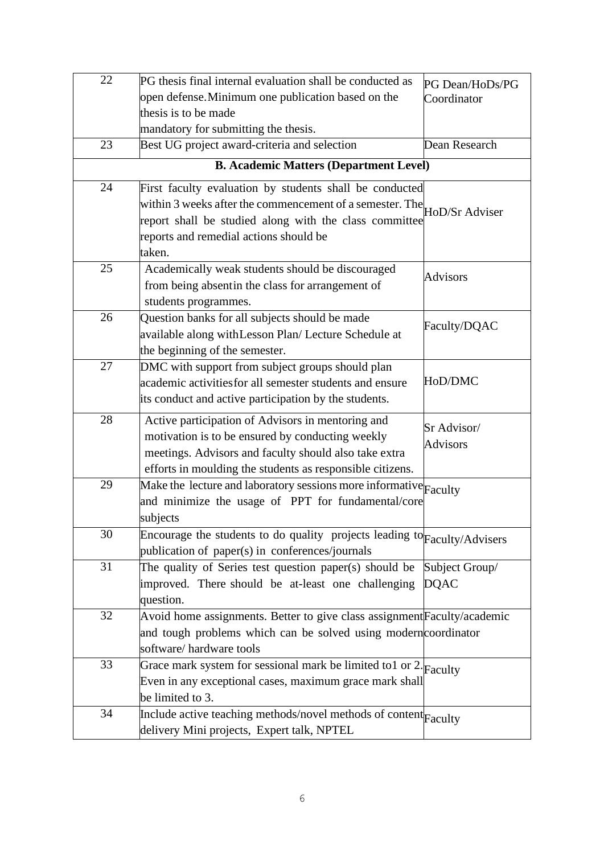| 22                                            | PG thesis final internal evaluation shall be conducted as                                                    | PG Dean/HoDs/PG               |  |
|-----------------------------------------------|--------------------------------------------------------------------------------------------------------------|-------------------------------|--|
|                                               | open defense. Minimum one publication based on the                                                           | Coordinator                   |  |
|                                               | thesis is to be made                                                                                         |                               |  |
|                                               | mandatory for submitting the thesis.                                                                         |                               |  |
| 23                                            | Best UG project award-criteria and selection                                                                 | Dean Research                 |  |
| <b>B. Academic Matters (Department Level)</b> |                                                                                                              |                               |  |
| 24                                            | First faculty evaluation by students shall be conducted                                                      |                               |  |
|                                               | within 3 weeks after the commencement of a semester. The $H_{\text{1}}$ HoD/Sr Adviser                       |                               |  |
|                                               | report shall be studied along with the class committee                                                       |                               |  |
|                                               | reports and remedial actions should be                                                                       |                               |  |
|                                               | taken.                                                                                                       |                               |  |
| 25                                            | Academically weak students should be discouraged                                                             | <b>Advisors</b>               |  |
|                                               | from being absentin the class for arrangement of                                                             |                               |  |
|                                               | students programmes.                                                                                         |                               |  |
| 26                                            | Question banks for all subjects should be made                                                               | Faculty/DQAC                  |  |
|                                               | available along with Lesson Plan/ Lecture Schedule at                                                        |                               |  |
|                                               | the beginning of the semester.                                                                               |                               |  |
| 27                                            | DMC with support from subject groups should plan                                                             |                               |  |
|                                               | academic activities for all semester students and ensure                                                     | HoD/DMC                       |  |
|                                               | its conduct and active participation by the students.                                                        |                               |  |
| 28                                            | Active participation of Advisors in mentoring and                                                            | Sr Advisor/                   |  |
|                                               | motivation is to be ensured by conducting weekly                                                             | <b>Advisors</b>               |  |
|                                               | meetings. Advisors and faculty should also take extra                                                        |                               |  |
|                                               | efforts in moulding the students as responsible citizens.                                                    |                               |  |
| 29                                            | Make the lecture and laboratory sessions more informative Faculty                                            |                               |  |
|                                               | and minimize the usage of PPT for fundamental/core                                                           |                               |  |
|                                               | subjects                                                                                                     |                               |  |
| 30                                            | Encourage the students to do quality projects leading to Faculty/Advisers                                    |                               |  |
| 31                                            | publication of paper(s) in conferences/journals                                                              |                               |  |
|                                               | The quality of Series test question paper(s) should be<br>improved. There should be at-least one challenging | Subject Group/<br><b>DQAC</b> |  |
|                                               | question.                                                                                                    |                               |  |
| 32                                            | Avoid home assignments. Better to give class assignment Faculty/academic                                     |                               |  |
|                                               | and tough problems which can be solved using modern coordinator                                              |                               |  |
|                                               | software/hardware tools                                                                                      |                               |  |
| 33                                            | Grace mark system for sessional mark be limited to 1 or 2. $F_{\text{aculty}}$                               |                               |  |
|                                               | Even in any exceptional cases, maximum grace mark shall                                                      |                               |  |
|                                               | be limited to 3.                                                                                             |                               |  |
| 34                                            | Include active teaching methods/novel methods of content Faculty                                             |                               |  |
|                                               | delivery Mini projects, Expert talk, NPTEL                                                                   |                               |  |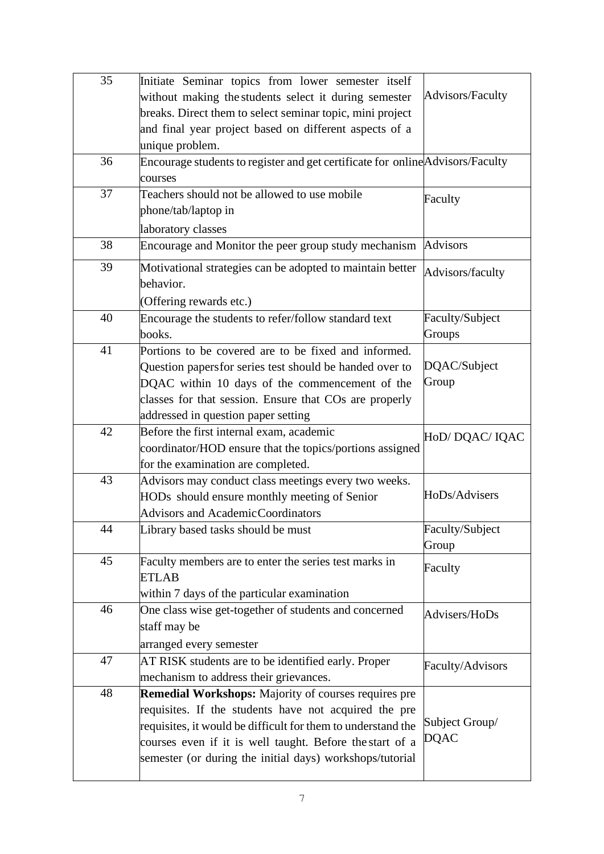| 35 | Initiate Seminar topics from lower semester itself                                                                   |                         |
|----|----------------------------------------------------------------------------------------------------------------------|-------------------------|
|    | without making the students select it during semester                                                                | <b>Advisors/Faculty</b> |
|    | breaks. Direct them to select seminar topic, mini project                                                            |                         |
|    | and final year project based on different aspects of a                                                               |                         |
|    | unique problem.                                                                                                      |                         |
| 36 | Encourage students to register and get certificate for online Advisors/Faculty                                       |                         |
|    | courses                                                                                                              |                         |
| 37 | Teachers should not be allowed to use mobile                                                                         | Faculty                 |
|    | phone/tab/laptop in                                                                                                  |                         |
|    | laboratory classes                                                                                                   |                         |
| 38 | Encourage and Monitor the peer group study mechanism                                                                 | <b>Advisors</b>         |
| 39 | Motivational strategies can be adopted to maintain better                                                            | Advisors/faculty        |
|    | behavior.                                                                                                            |                         |
|    | (Offering rewards etc.)                                                                                              |                         |
| 40 | Encourage the students to refer/follow standard text                                                                 | Faculty/Subject         |
|    | books.                                                                                                               | Groups                  |
| 41 | Portions to be covered are to be fixed and informed.                                                                 |                         |
|    | Question papers for series test should be handed over to                                                             | DQAC/Subject            |
|    | DQAC within 10 days of the commencement of the                                                                       | Group                   |
|    | classes for that session. Ensure that COs are properly                                                               |                         |
|    | addressed in question paper setting                                                                                  |                         |
|    |                                                                                                                      |                         |
|    |                                                                                                                      |                         |
| 42 | Before the first internal exam, academic                                                                             | HoD/DQAC/IQAC           |
|    | coordinator/HOD ensure that the topics/portions assigned                                                             |                         |
|    | for the examination are completed.                                                                                   |                         |
| 43 | Advisors may conduct class meetings every two weeks.                                                                 | HoDs/Advisers           |
|    | HODs should ensure monthly meeting of Senior                                                                         |                         |
|    | Advisors and AcademicCoordinators                                                                                    |                         |
| 44 | Library based tasks should be must                                                                                   | Faculty/Subject         |
| 45 |                                                                                                                      | Group                   |
|    | Faculty members are to enter the series test marks in<br><b>ETLAB</b>                                                | Faculty                 |
|    | within 7 days of the particular examination                                                                          |                         |
| 46 |                                                                                                                      |                         |
|    | One class wise get-together of students and concerned<br>staff may be                                                | Advisers/HoDs           |
|    |                                                                                                                      |                         |
| 47 | arranged every semester                                                                                              |                         |
|    | AT RISK students are to be identified early. Proper<br>mechanism to address their grievances.                        | Faculty/Advisors        |
| 48 |                                                                                                                      |                         |
|    | <b>Remedial Workshops:</b> Majority of courses requires pre                                                          |                         |
|    | requisites. If the students have not acquired the pre                                                                | Subject Group/          |
|    | requisites, it would be difficult for them to understand the                                                         | <b>DQAC</b>             |
|    | courses even if it is well taught. Before the start of a<br>semester (or during the initial days) workshops/tutorial |                         |